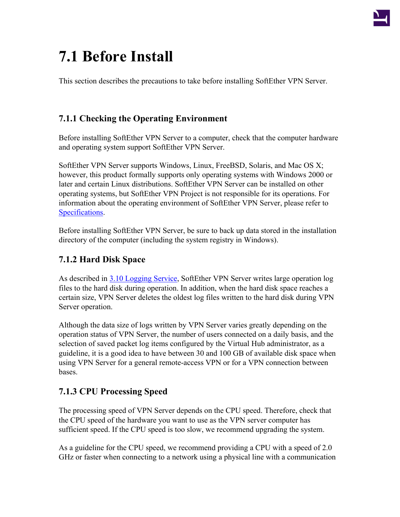

# **7.1 Before Install**

This section describes the precautions to take before installing SoftEther VPN Server.

## **7.1.1 Checking the Operating Environment**

Before installing SoftEther VPN Server to a computer, check that the computer hardware and operating system support SoftEther VPN Server.

SoftEther VPN Server supports Windows, Linux, FreeBSD, Solaris, and Mac OS X; however, this product formally supports only operating systems with Windows 2000 or later and certain Linux distributions. SoftEther VPN Server can be installed on other operating systems, but SoftEther VPN Project is not responsible for its operations. For information about the operating environment of SoftEther VPN Server, please refer to [Specifications.](http://www.softether.org/3-spec)

Before installing SoftEther VPN Server, be sure to back up data stored in the installation directory of the computer (including the system registry in Windows).

## **7.1.2 Hard Disk Space**

As described in [3.10 Logging Service](http://www.softether.org/4-docs/1-manual/3._SoftEther_VPN_Server_Manual/3.A_Logging_Service), SoftEther VPN Server writes large operation log files to the hard disk during operation. In addition, when the hard disk space reaches a certain size, VPN Server deletes the oldest log files written to the hard disk during VPN Server operation.

Although the data size of logs written by VPN Server varies greatly depending on the operation status of VPN Server, the number of users connected on a daily basis, and the selection of saved packet log items configured by the Virtual Hub administrator, as a guideline, it is a good idea to have between 30 and 100 GB of available disk space when using VPN Server for a general remote-access VPN or for a VPN connection between bases.

### **7.1.3 CPU Processing Speed**

The processing speed of VPN Server depends on the CPU speed. Therefore, check that the CPU speed of the hardware you want to use as the VPN server computer has sufficient speed. If the CPU speed is too slow, we recommend upgrading the system.

As a guideline for the CPU speed, we recommend providing a CPU with a speed of 2.0 GHz or faster when connecting to a network using a physical line with a communication